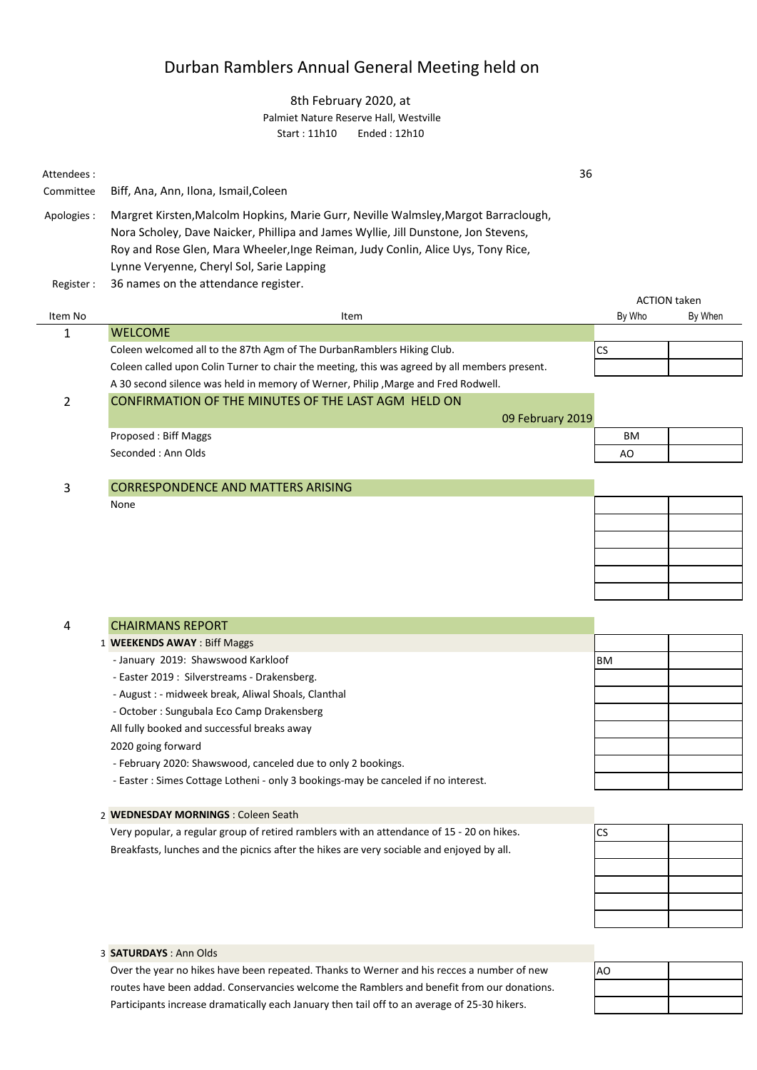## Durban Ramblers Annual General Meeting held on

## 8th February 2020, at Palmiet Nature Reserve Hall, Westville Start : 11h10 Ended : 12h10

| Attendees:     |                                                                                                                                                                                                                                                                                                            | 36     |                     |
|----------------|------------------------------------------------------------------------------------------------------------------------------------------------------------------------------------------------------------------------------------------------------------------------------------------------------------|--------|---------------------|
| Committee      | Biff, Ana, Ann, Ilona, Ismail, Coleen                                                                                                                                                                                                                                                                      |        |                     |
| Apologies :    | Margret Kirsten, Malcolm Hopkins, Marie Gurr, Neville Walmsley, Margot Barraclough,<br>Nora Scholey, Dave Naicker, Phillipa and James Wyllie, Jill Dunstone, Jon Stevens,<br>Roy and Rose Glen, Mara Wheeler, Inge Reiman, Judy Conlin, Alice Uys, Tony Rice,<br>Lynne Veryenne, Cheryl Sol, Sarie Lapping |        |                     |
| Register:      | 36 names on the attendance register.                                                                                                                                                                                                                                                                       |        |                     |
|                |                                                                                                                                                                                                                                                                                                            |        | <b>ACTION taken</b> |
| Item No        | Item                                                                                                                                                                                                                                                                                                       | By Who | By When             |
| $\mathbf{1}$   | <b>WELCOME</b>                                                                                                                                                                                                                                                                                             |        |                     |
|                | Coleen welcomed all to the 87th Agm of The DurbanRamblers Hiking Club.                                                                                                                                                                                                                                     | CS     |                     |
|                | Coleen called upon Colin Turner to chair the meeting, this was agreed by all members present.                                                                                                                                                                                                              |        |                     |
|                | A 30 second silence was held in memory of Werner, Philip, Marge and Fred Rodwell.                                                                                                                                                                                                                          |        |                     |
| $\overline{2}$ | CONFIRMATION OF THE MINUTES OF THE LAST AGM HELD ON                                                                                                                                                                                                                                                        |        |                     |
|                | 09 February 2019                                                                                                                                                                                                                                                                                           |        |                     |
|                | <b>Proposed: Biff Maggs</b>                                                                                                                                                                                                                                                                                | BM     |                     |
|                | Seconded: Ann Olds                                                                                                                                                                                                                                                                                         | AO     |                     |
|                |                                                                                                                                                                                                                                                                                                            |        |                     |
| 3              | <b>CORRESPONDENCE AND MATTERS ARISING</b>                                                                                                                                                                                                                                                                  |        |                     |
|                | None                                                                                                                                                                                                                                                                                                       |        |                     |
|                |                                                                                                                                                                                                                                                                                                            |        |                     |
|                |                                                                                                                                                                                                                                                                                                            |        |                     |
|                |                                                                                                                                                                                                                                                                                                            |        |                     |
|                |                                                                                                                                                                                                                                                                                                            |        |                     |
|                |                                                                                                                                                                                                                                                                                                            |        |                     |
|                |                                                                                                                                                                                                                                                                                                            |        |                     |

| <b>CHAIRMANS REPORT</b>                                                            |      |  |
|------------------------------------------------------------------------------------|------|--|
| 1 <b>WEEKENDS AWAY: Biff Maggs</b>                                                 |      |  |
| - January 2019: Shawswood Karkloof                                                 | IBM. |  |
| - Easter 2019 : Silverstreams - Drakensberg.                                       |      |  |
| - August : - midweek break, Aliwal Shoals, Clanthal                                |      |  |
| - October: Sungubala Eco Camp Drakensberg                                          |      |  |
| All fully booked and successful breaks away                                        |      |  |
| 2020 going forward                                                                 |      |  |
| - February 2020: Shawswood, canceled due to only 2 bookings.                       |      |  |
| Tootaa : Classe Cettene Letlenel - salu O kaaldeen assules senaalad if na jotsuset |      |  |

- Easter : Simes Cottage Lotheni - only 3 bookings-may be canceled if no interest.

2 **WEDNESDAY MORNINGS** : Coleen Seath Breakfasts, lunches and the picnics after the hikes are very sociable and enjoyed by all. Very popular, a regular group of retired ramblers with an attendance of 15 - 20 on hikes.

| CS |  |
|----|--|
|    |  |
|    |  |
|    |  |
|    |  |
|    |  |
|    |  |

# AO

3 **SATURDAYS** : Ann Olds

4

Over the year no hikes have been repeated. Thanks to Werner and his recces a number of new routes have been addad. Conservancies welcome the Ramblers and benefit from our donations. Participants increase dramatically each January then tail off to an average of 25-30 hikers.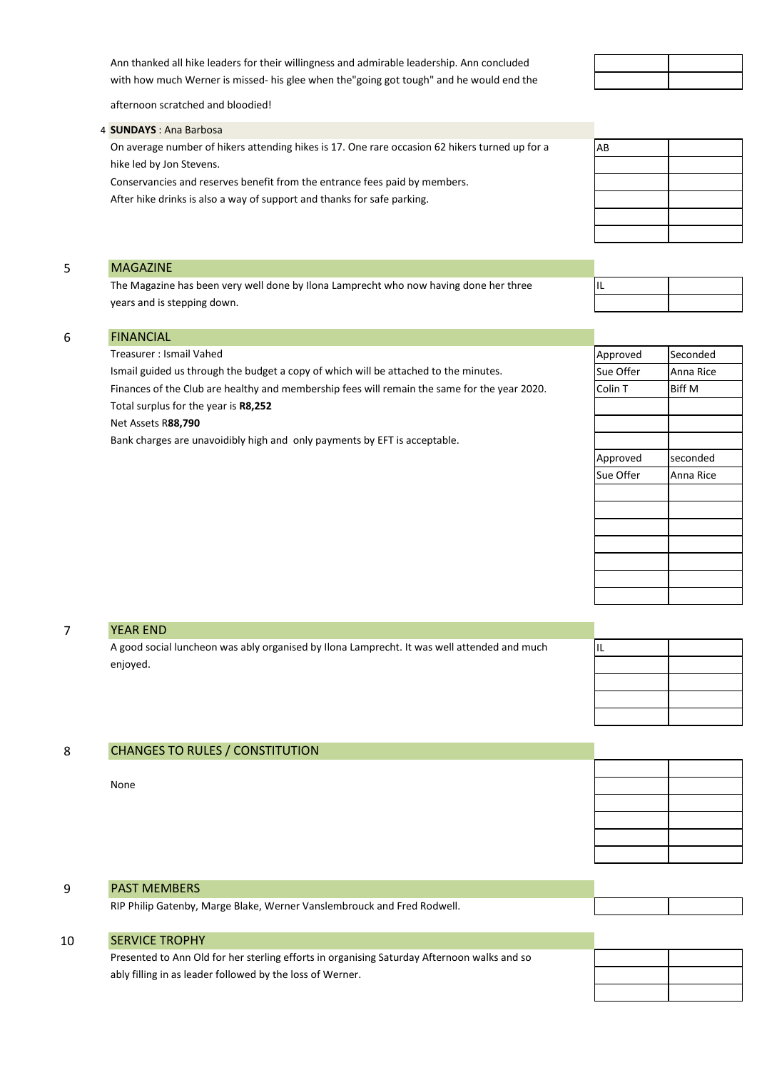with how much Werner is missed- his glee when the"going got tough" and he would end the Ann thanked all hike leaders for their willingness and admirable leadership. Ann concluded

AB

IL

afternoon scratched and bloodied!

CHANGES TO RULES / CONSTITUTION

### 4 **SUNDAYS** : Ana Barbosa

On average number of hikers attending hikes is 17. One rare occasion 62 hikers turned up for a hike led by Jon Stevens.

Conservancies and reserves benefit from the entrance fees paid by members. After hike drinks is also a way of support and thanks for safe parking.

#### 5 MAGAZINE

The Magazine has been very well done by Ilona Lamprecht who now having done her three years and is stepping down.

| <b>FINANCIAL</b>                                                                             |           |               |
|----------------------------------------------------------------------------------------------|-----------|---------------|
| Treasurer: Ismail Vahed                                                                      | Approved  | Seconded      |
| Ismail guided us through the budget a copy of which will be attached to the minutes.         | Sue Offer | Anna Rice     |
| Finances of the Club are healthy and membership fees will remain the same for the year 2020. | Colin T   | <b>Biff M</b> |
| Total surplus for the year is R8,252                                                         |           |               |
| Net Assets R88,790                                                                           |           |               |
| Bank charges are unavoidibly high and only payments by EFT is acceptable.                    |           |               |
|                                                                                              | Approved  | seconded      |
|                                                                                              | Sue Offer | Anna Rice     |
|                                                                                              |           |               |

| <b>YEAR END</b>                                                                             |    |  |
|---------------------------------------------------------------------------------------------|----|--|
| A good social luncheon was ably organised by Ilona Lamprecht. It was well attended and much | 1L |  |
| enjoyed.                                                                                    |    |  |
|                                                                                             |    |  |
|                                                                                             |    |  |
|                                                                                             |    |  |
|                                                                                             |    |  |

| 8 | <b>CHANGES TO RULES / CONSTITUTION</b> |  |
|---|----------------------------------------|--|
|   |                                        |  |
|   | None                                   |  |
|   |                                        |  |
|   |                                        |  |
|   |                                        |  |
|   |                                        |  |
|   |                                        |  |

## 9 10 RIP Philip Gatenby, Marge Blake, Werner Vanslembrouck and Fred Rodwell. SERVICE TROPHY PAST MEMBERS

Presented to Ann Old for her sterling efforts in organising Saturday Afternoon walks and so ably filling in as leader followed by the loss of Werner.